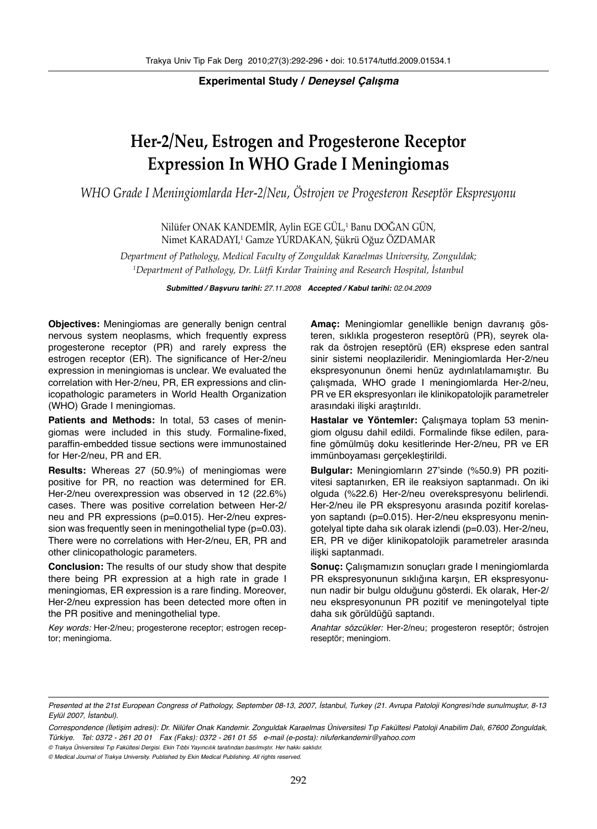**Experimental Study / Deneysel Çalışma**

# **Her-2/Neu, Estrogen and Progesterone Receptor Expression In WHO Grade I Meningiomas**

*WHO Grade I Meningiomlarda Her-2/Neu, Östrojen ve Progesteron Reseptör Ekspresyonu*

Nilüfer ONAK KANDEMIR, Aylin EGE GUL,<sup>1</sup> Banu DOGAN GUN, Nimet KARADAYI,' Gamze YURDAKAN, Şükrü Oğuz OZDAMAR

*Department of Pathology, Medical Faculty of Zonguldak Karaelmas University, Zonguldak; 1 Department of Pathology, Dr. Lütfi Kırdar Training and Research Hospital, İstanbul*

**Submitted / Başvuru tarihi:** 27.11.2008 **Accepted / Kabul tarihi:** 02.04.2009

**Objectives:** Meningiomas are generally benign central nervous system neoplasms, which frequently express progesterone receptor (PR) and rarely express the estrogen receptor (ER). The significance of Her-2/neu expression in meningiomas is unclear. We evaluated the correlation with Her-2/neu, PR, ER expressions and clinicopathologic parameters in World Health Organization (WHO) Grade I meningiomas.

**Patients and Methods:** In total, 53 cases of meningiomas were included in this study. Formaline-fixed, paraffin-embedded tissue sections were immunostained for Her-2/neu, PR and ER.

**Results:** Whereas 27 (50.9%) of meningiomas were positive for PR, no reaction was determined for ER. Her-2/neu overexpression was observed in 12 (22.6%) cases. There was positive correlation between Her-2/ neu and PR expressions (p=0.015). Her-2/neu expression was frequently seen in meningothelial type (p=0.03). There were no correlations with Her-2/neu, ER, PR and other clinicopathologic parameters.

**Conclusion:** The results of our study show that despite there being PR expression at a high rate in grade I meningiomas, ER expression is a rare finding. Moreover, Her-2/neu expression has been detected more often in the PR positive and meningothelial type.

Key words: Her-2/neu; progesterone receptor; estrogen receptor; meningioma.

**Amaç:** Meningiomlar genellikle benign davranış gösteren, sıklıkla progesteron reseptörü (PR), seyrek olarak da östrojen reseptörü (ER) eksprese eden santral sinir sistemi neoplazileridir. Meningiomlarda Her-2/neu ekspresyonunun önemi henüz aydınlatılamamıştır. Bu çalışmada, WHO grade I meningiomlarda Her-2/neu, PR ve ER ekspresyonları ile klinikopatolojik parametreler arasındaki ilişki araştırıldı.

**Hastalar ve Yöntemler:** Çalışmaya toplam 53 meningiom olgusu dahil edildi. Formalinde fikse edilen, parafine gömülmüş doku kesitlerinde Her-2/neu, PR ve ER immünboyaması gerçekleştirildi.

**Bulgular:** Meningiomların 27'sinde (%50.9) PR pozitivitesi saptanırken, ER ile reaksiyon saptanmadı. On iki olguda (%22.6) Her-2/neu overekspresyonu belirlendi. Her-2/neu ile PR ekspresyonu arasında pozitif korelasyon saptandı (p=0.015). Her-2/neu ekspresyonu meningotelyal tipte daha sık olarak izlendi (p=0.03). Her-2/neu, ER, PR ve diğer klinikopatolojik parametreler arasında ilişki saptanmadı.

**Sonuç:** Çalışmamızın sonuçları grade I meningiomlarda PR ekspresyonunun sıklığına karşın, ER ekspresyonunun nadir bir bulgu olduğunu gösterdi. Ek olarak, Her-2/ neu ekspresyonunun PR pozitif ve meningotelyal tipte daha sık görüldüğü saptandı.

Anahtar sözcükler: Her-2/neu; progesteron reseptör; östrojen reseptör; meningiom.

Presented at the 21st European Congress of Pathology, September 08-13, 2007, İstanbul, Turkey (21. Avrupa Patoloji Kongresi'nde sunulmuştur, 8-13 Eylül 2007, İstanbul).

Correspondence (İletişim adresi): Dr. Nilüfer Onak Kandemir. Zonguldak Karaelmas Üniversitesi Tıp Fakültesi Patoloji Anabilim Dalı, 67600 Zonguldak, Türkiye. Tel: 0372 - 261 20 01 Fax (Faks): 0372 - 261 01 55 e-mail (e-posta): niluferkandemir@yahoo.com

<sup>©</sup> Trakya Üniversitesi Tıp Fakültesi Dergisi. Ekin Tıbbi Yayıncılık tarafından basılmıştır. Her hakkı saklıdır.

<sup>©</sup> Medical Journal of Trakya University. Published by Ekin Medical Publishing. All rights reserved.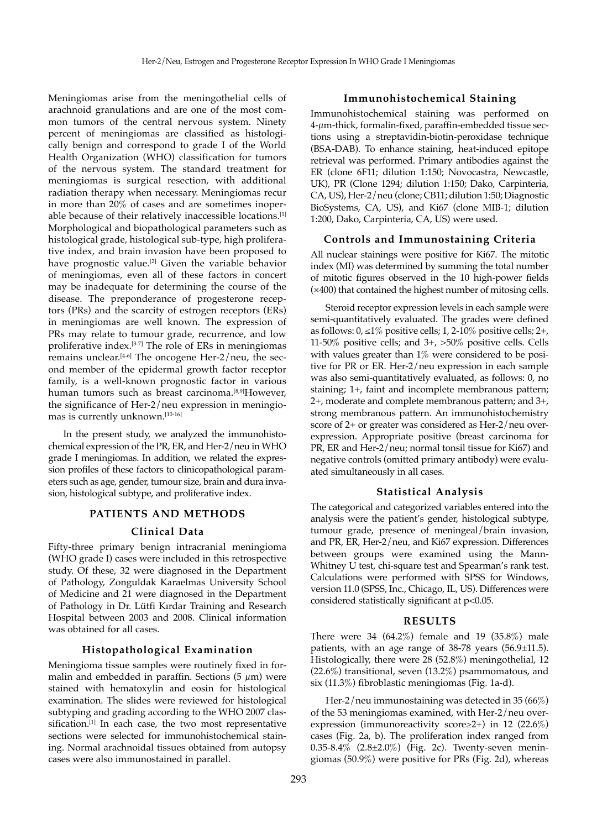Meningiomas arise from the meningothelial cells of arachnoid granulations and are one of the most common tumors of the central nervous system. Ninety percent of meningiomas are classified as histologically benign and correspond to grade I of the World Health Organization (WHO) classification for tumors of the nervous system. The standard treatment for meningiomas is surgical resection, with additional radiation therapy when necessary. Meningiomas recur in more than 20% of cases and are sometimes inoperable because of their relatively inaccessible locations.[1] Morphological and biopathological parameters such as histological grade, histological sub-type, high proliferative index, and brain invasion have been proposed to have prognostic value.<sup>[2]</sup> Given the variable behavior of meningiomas, even all of these factors in concert may be inadequate for determining the course of the disease. The preponderance of progesterone receptors (PRs) and the scarcity of estrogen receptors (ERs) in meningiomas are well known. The expression of PRs may relate to tumour grade, recurrence, and low proliferative index.[3-7] The role of ERs in meningiomas remains unclear.[4-6] The oncogene Her-2/neu, the second member of the epidermal growth factor receptor family, is a well-known prognostic factor in various human tumors such as breast carcinoma.<sup>[8,9]</sup>However, the significance of Her-2/neu expression in meningiomas is currently unknown.[10-16]

In the present study, we analyzed the immunohistochemical expression of the PR, ER, and Her-2/neu in WHO grade I meningiomas. In addition, we related the expression profiles of these factors to clinicopathological parameters such as age, gender, tumour size, brain and dura invasion, histological subtype, and proliferative index.

# **PATIENTS AND METHODS**

### **Clinical Data**

Fifty-three primary benign intracranial meningioma (WHO grade I) cases were included in this retrospective study. Of these, 32 were diagnosed in the Department of Pathology, Zonguldak Karaelmas University School of Medicine and 21 were diagnosed in the Department of Pathology in Dr. Lütfi Kırdar Training and Research Hospital between 2003 and 2008. Clinical information was obtained for all cases.

## **Histopathological Examination**

Meningioma tissue samples were routinely fixed in formalin and embedded in paraffin. Sections  $(5 \mu m)$  were stained with hematoxylin and eosin for histological examination. The slides were reviewed for histological subtyping and grading according to the WHO 2007 classification.<sup>[1]</sup> In each case, the two most representative sections were selected for immunohistochemical staining. Normal arachnoidal tissues obtained from autopsy cases were also immunostained in parallel.

# **Immunohistochemical Staining**

Immunohistochemical staining was performed on 4-µm-thick, formalin-fixed, paraffin-embedded tissue sections using a streptavidin-biotin-peroxidase technique (BSA-DAB). To enhance staining, heat-induced epitope retrieval was performed. Primary antibodies against the ER (clone 6F11; dilution 1:150; Novocastra, Newcastle, UK), PR (Clone 1294; dilution 1:150; Dako, Carpinteria, CA, US), Her-2/neu (clone; CB11; dilution 1:50; Diagnostic BioSystems, CA, US), and Ki67 (clone MIB-1; dilution 1:200, Dako, Carpinteria, CA, US) were used.

#### **Controls and Immunostaining Criteria**

All nuclear stainings were positive for Ki67. The mitotic index (MI) was determined by summing the total number of mitotic figures observed in the 10 high-power fields (×400) that contained the highest number of mitosing cells.

Steroid receptor expression levels in each sample were semi-quantitatively evaluated. The grades were defined as follows:  $0, \leq 1\%$  positive cells;  $1, 2-10\%$  positive cells;  $2+,$ 11-50% positive cells; and 3+, >50% positive cells. Cells with values greater than 1% were considered to be positive for PR or ER. Her-2/neu expression in each sample was also semi-quantitatively evaluated, as follows: 0, no staining; 1+, faint and incomplete membranous pattern; 2+, moderate and complete membranous pattern; and 3+, strong membranous pattern. An immunohistochemistry score of 2+ or greater was considered as Her-2/neu overexpression. Appropriate positive (breast carcinoma for PR, ER and Her-2/neu; normal tonsil tissue for Ki67) and negative controls (omitted primary antibody) were evaluated simultaneously in all cases.

#### **Statistical Analysis**

The categorical and categorized variables entered into the analysis were the patient's gender, histological subtype, tumour grade, presence of meningeal/brain invasion, and PR, ER, Her-2/neu, and Ki67 expression. Differences between groups were examined using the Mann-Whitney U test, chi-square test and Spearman's rank test. Calculations were performed with SPSS for Windows, version 11.0 (SPSS, Inc., Chicago, IL, US). Differences were considered statistically significant at p<0.05.

## **RESULTS**

There were 34 (64.2%) female and 19 (35.8%) male patients, with an age range of 38-78 years (56.9±11.5). Histologically, there were 28 (52.8%) meningothelial, 12 (22.6%) transitional, seven (13.2%) psammomatous, and six (11.3%) fibroblastic meningiomas (Fig. 1a-d).

Her-2/neu immunostaining was detected in 35 (66%) of the 53 meningiomas examined, with Her-2/neu overexpression (immunoreactivity score≥2+) in 12 (22.6%) cases (Fig. 2a, b). The proliferation index ranged from 0.35-8.4% (2.8±2.0%) (Fig. 2c). Twenty-seven meningiomas (50.9%) were positive for PRs (Fig. 2d), whereas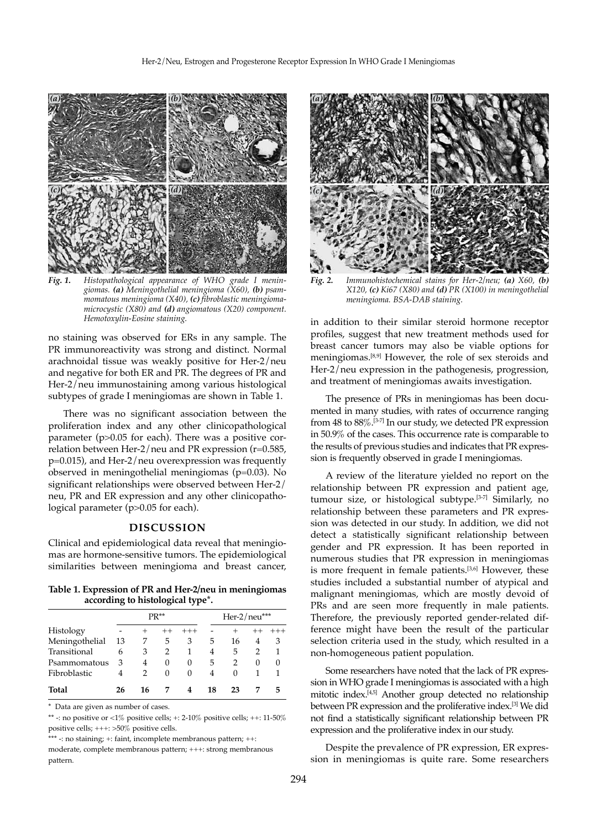

*Fig. 1. Histopathological appearance of WHO grade I meningiomas. (a) Meningothelial meningioma (X60), (b) psammomatous meningioma (X40), (c) fibroblastic meningiomamicrocystic (X80) and (d) angiomatous (X20) component. Hemotoxylin-Eosine staining.*

no staining was observed for ERs in any sample. The PR immunoreactivity was strong and distinct. Normal arachnoidal tissue was weakly positive for Her-2/neu and negative for both ER and PR. The degrees of PR and Her-2/neu immunostaining among various histological subtypes of grade I meningiomas are shown in Table 1.

There was no significant association between the proliferation index and any other clinicopathological parameter (p>0.05 for each). There was a positive correlation between Her-2/neu and PR expression (r=0.585, p=0.015), and Her-2/neu overexpression was frequently observed in meningothelial meningiomas (p=0.03). No significant relationships were observed between Her-2/ neu, PR and ER expression and any other clinicopathological parameter (p>0.05 for each).

# **DISCUSSION**

Clinical and epidemiological data reveal that meningiomas are hormone-sensitive tumors. The epidemiological similarities between meningioma and breast cancer,

**Table 1. Expression of PR and Her-2/neu in meningiomas according to histological type\*.**

| $PR**$ |      |          |          | Her- $2/$ neu*** |          |          |              |
|--------|------|----------|----------|------------------|----------|----------|--------------|
|        | $^+$ |          | $^{+++}$ |                  |          |          | $^{+ + +}$   |
| -13    | 7    | 5        | 3        | 5                | 16       | 4        | 3            |
| 6      | 3    | 2        |          | 4                | 5        | 2        | 1            |
| 3      | 4    | $\theta$ | $\theta$ | 5                |          | $\theta$ | $\mathbf{0}$ |
| 4      | 2    | 0        | 0        | 4                | $\theta$ |          |              |
| 26     | 16   |          | 4        | 18               | 23       |          | 5            |
|        |      |          |          |                  |          |          |              |

Data are given as number of cases.

 $^{**}$  -: no positive or  ${<}1\%$  positive cells;  ${+}{:}~2{\text{-}10\%}$  positive cells;  ${+}{:}~11{\text{-}50\%}$ positive cells; +++: >50% positive cells.

\*\* -: no staining; +: faint, incomplete membranous pattern; ++:

moderate, complete membranous pattern; +++: strong membranous pattern.



*Fig. 2. Immunohistochemical stains for Her-2/neu; (a) X60, (b) X120, (c) Ki67 (X80) and (d) PR (X100) in meningothelial meningioma. BSA-DAB staining.*

in addition to their similar steroid hormone receptor profiles, suggest that new treatment methods used for breast cancer tumors may also be viable options for meningiomas.[8,9] However, the role of sex steroids and Her-2/neu expression in the pathogenesis, progression, and treatment of meningiomas awaits investigation.

The presence of PRs in meningiomas has been documented in many studies, with rates of occurrence ranging from 48 to 88%.[3-7] In our study, we detected PR expression in 50.9% of the cases. This occurrence rate is comparable to the results of previous studies and indicates that PR expression is frequently observed in grade I meningiomas.

A review of the literature yielded no report on the relationship between PR expression and patient age, tumour size, or histological subtype.[3-7] Similarly, no relationship between these parameters and PR expression was detected in our study. In addition, we did not detect a statistically significant relationship between gender and PR expression. It has been reported in numerous studies that PR expression in meningiomas is more frequent in female patients.[3,6] However, these studies included a substantial number of atypical and malignant meningiomas, which are mostly devoid of PRs and are seen more frequently in male patients. Therefore, the previously reported gender-related difference might have been the result of the particular selection criteria used in the study, which resulted in a non-homogeneous patient population.

Some researchers have noted that the lack of PR expression in WHO grade I meningiomas is associated with a high mitotic index.[4,5] Another group detected no relationship between PR expression and the proliferative index.[3] We did not find a statistically significant relationship between PR expression and the proliferative index in our study.

Despite the prevalence of PR expression, ER expression in meningiomas is quite rare. Some researchers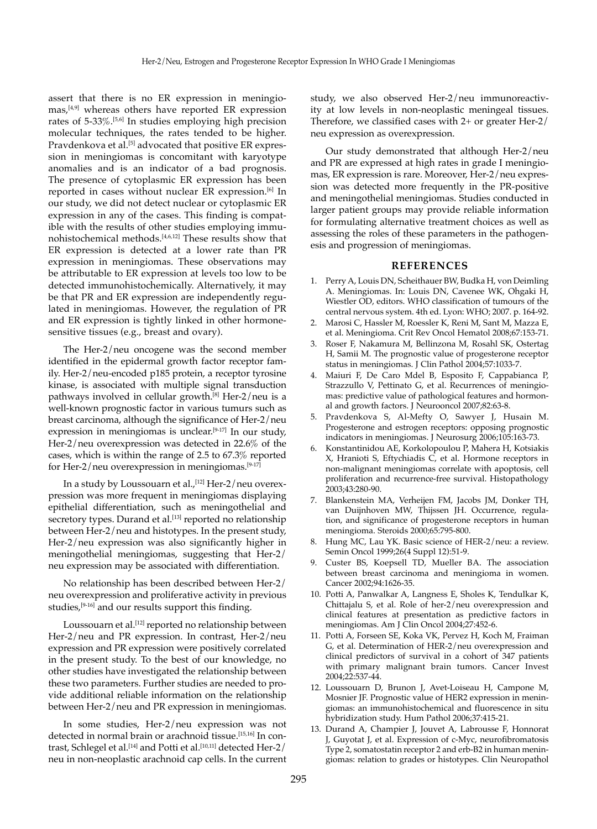assert that there is no ER expression in meningio- $\text{mas}$ ,<sup>[4,9]</sup> whereas others have reported ER expression rates of 5-33%.[5,6] In studies employing high precision molecular techniques, the rates tended to be higher. Pravdenkova et al.<sup>[5]</sup> advocated that positive ER expression in meningiomas is concomitant with karyotype anomalies and is an indicator of a bad prognosis. The presence of cytoplasmic ER expression has been reported in cases without nuclear ER expression.<sup>[6]</sup> In our study, we did not detect nuclear or cytoplasmic ER expression in any of the cases. This finding is compatible with the results of other studies employing immunohistochemical methods.[4,6,12] These results show that ER expression is detected at a lower rate than PR expression in meningiomas. These observations may be attributable to ER expression at levels too low to be detected immunohistochemically. Alternatively, it may be that PR and ER expression are independently regulated in meningiomas. However, the regulation of PR and ER expression is tightly linked in other hormonesensitive tissues (e.g., breast and ovary).

The Her-2/neu oncogene was the second member identified in the epidermal growth factor receptor family. Her-2/neu-encoded p185 protein, a receptor tyrosine kinase, is associated with multiple signal transduction pathways involved in cellular growth.<sup>[8]</sup> Her-2/neu is a well-known prognostic factor in various tumurs such as breast carcinoma, although the significance of Her-2/neu expression in meningiomas is unclear.<sup>[9-17]</sup> In our study, Her-2/neu overexpression was detected in 22.6% of the cases, which is within the range of 2.5 to 67.3% reported for Her- $2/$ neu overexpression in meningiomas.<sup>[9-17]</sup>

In a study by Loussouarn et al.,  $[12]$  Her-2/neu overexpression was more frequent in meningiomas displaying epithelial differentiation, such as meningothelial and secretory types. Durand et al.<sup>[13]</sup> reported no relationship between Her-2/neu and histotypes. In the present study, Her-2/neu expression was also significantly higher in meningothelial meningiomas, suggesting that Her-2/ neu expression may be associated with differentiation.

No relationship has been described between Her-2/ neu overexpression and proliferative activity in previous studies, $[9-16]$  and our results support this finding.

Loussouarn et al.<sup>[12]</sup> reported no relationship between Her-2/neu and PR expression. In contrast, Her-2/neu expression and PR expression were positively correlated in the present study. To the best of our knowledge, no other studies have investigated the relationship between these two parameters. Further studies are needed to provide additional reliable information on the relationship between Her-2/neu and PR expression in meningiomas.

In some studies, Her-2/neu expression was not detected in normal brain or arachnoid tissue.[15,16] In contrast, Schlegel et al.<sup>[14]</sup> and Potti et al.<sup>[10,11]</sup> detected Her-2/ neu in non-neoplastic arachnoid cap cells. In the current study, we also observed Her-2/neu immunoreactivity at low levels in non-neoplastic meningeal tissues. Therefore, we classified cases with 2+ or greater Her-2/ neu expression as overexpression.

Our study demonstrated that although Her-2/neu and PR are expressed at high rates in grade I meningiomas, ER expression is rare. Moreover, Her-2/neu expression was detected more frequently in the PR-positive and meningothelial meningiomas. Studies conducted in larger patient groups may provide reliable information for formulating alternative treatment choices as well as assessing the roles of these parameters in the pathogenesis and progression of meningiomas.

## **REFERENCES**

- 1. Perry A, Louis DN, Scheithauer BW, Budka H, von Deimling A. Meningiomas. In: Louis DN, Cavenee WK, Ohgaki H, Wiestler OD, editors. WHO classification of tumours of the central nervous system. 4th ed. Lyon: WHO; 2007. p. 164-92.
- 2. Marosi C, Hassler M, Roessler K, Reni M, Sant M, Mazza E, et al. Meningioma. Crit Rev Oncol Hematol 2008;67:153-71.
- 3. Roser F, Nakamura M, Bellinzona M, Rosahl SK, Ostertag H, Samii M. The prognostic value of progesterone receptor status in meningiomas. J Clin Pathol 2004;57:1033-7.
- 4. Maiuri F, De Caro Mdel B, Esposito F, Cappabianca P, Strazzullo V, Pettinato G, et al. Recurrences of meningiomas: predictive value of pathological features and hormonal and growth factors. J Neurooncol 2007;82:63-8.
- 5. Pravdenkova S, Al-Mefty O, Sawyer J, Husain M. Progesterone and estrogen receptors: opposing prognostic indicators in meningiomas. J Neurosurg 2006;105:163-73.
- 6. Konstantinidou AE, Korkolopoulou P, Mahera H, Kotsiakis X, Hranioti S, Eftychiadis C, et al. Hormone receptors in non-malignant meningiomas correlate with apoptosis, cell proliferation and recurrence-free survival. Histopathology 2003;43:280-90.
- 7. Blankenstein MA, Verheijen FM, Jacobs JM, Donker TH, van Duijnhoven MW, Thijssen JH. Occurrence, regulation, and significance of progesterone receptors in human meningioma. Steroids 2000;65:795-800.
- 8. Hung MC, Lau YK. Basic science of HER-2/neu: a review. Semin Oncol 1999;26(4 Suppl 12):51-9.
- 9. Custer BS, Koepsell TD, Mueller BA. The association between breast carcinoma and meningioma in women. Cancer 2002;94:1626-35.
- 10. Potti A, Panwalkar A, Langness E, Sholes K, Tendulkar K, Chittajalu S, et al. Role of her-2/neu overexpression and clinical features at presentation as predictive factors in meningiomas. Am J Clin Oncol 2004;27:452-6.
- 11. Potti A, Forseen SE, Koka VK, Pervez H, Koch M, Fraiman G, et al. Determination of HER-2/neu overexpression and clinical predictors of survival in a cohort of 347 patients with primary malignant brain tumors. Cancer Invest 2004;22:537-44.
- 12. Loussouarn D, Brunon J, Avet-Loiseau H, Campone M, Mosnier JF. Prognostic value of HER2 expression in meningiomas: an immunohistochemical and fluorescence in situ hybridization study. Hum Pathol 2006;37:415-21.
- 13. Durand A, Champier J, Jouvet A, Labrousse F, Honnorat J, Guyotat J, et al. Expression of c-Myc, neurofibromatosis Type 2, somatostatin receptor 2 and erb-B2 in human meningiomas: relation to grades or histotypes. Clin Neuropathol